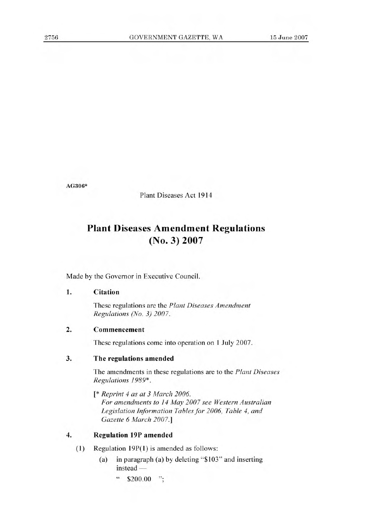**AG306\*** 

Plant Diseases Act 1914

# **Plant Diseases Amendment Regulations (No. 3) 2007**

Made by the Governor in Executive Council.

### 1. Citation

These regulations are the *Plant Diseases Amendment Regulations (No. 3) 2007.* 

#### 2. Commencement

These regulations come into operation on 1 July 2007.

#### **3. The regulations** amended

The amendments in these regulations are to the *Plant Diseases Regulations 1989\*.* 

*[\* Reprint 4 as at 3 March 2006. For amendments to 14 May 2007 see Western Australian Legislation Information Tables for 2006, Table 4, and Gazette 6 March 2007.]* 

## **4. Regulation 19P amended**

- $(1)$  Regulation 19P $(1)$  is amended as follows:
	- (a) in paragraph (a) by deleting "\$103" and inserting instead —
		- $\degree$  \$200.00 ";